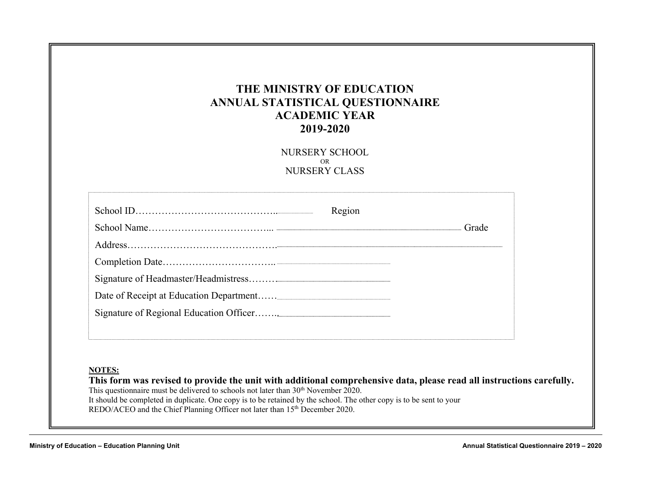### **THE MINISTRY OF EDUCATION ANNUAL STATISTICAL QUESTIONNAIRE ACADEMIC YEAR 2019-2020**

NURSERY SCHOOL OR NURSERY CLASS

| Region |       |
|--------|-------|
|        | Grade |
|        |       |
|        |       |
|        |       |
|        |       |
|        |       |
|        |       |
|        |       |
|        |       |

**This form was revised to provide the unit with additional comprehensive data, please read all instructions carefully.**  This questionnaire must be delivered to schools not later than 30<sup>th</sup> November 2020. It should be completed in duplicate. One copy is to be retained by the school. The other copy is to be sent to your REDO/ACEO and the Chief Planning Officer not later than 15<sup>th</sup> December 2020.

**Ministry of Education – Education Planning Unit Annual Statistical Questionnaire 2019 – 2020**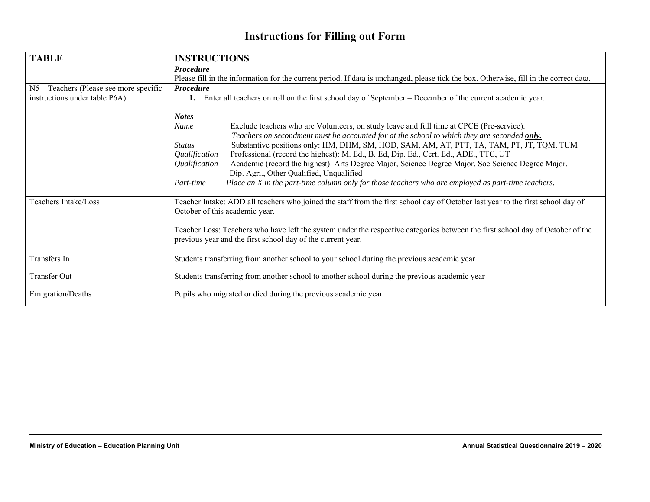# **Instructions for Filling out Form**

| <b>TABLE</b>                            | <b>INSTRUCTIONS</b>                                                                                                                                                                                                                                                                                                                                                                                                                                                                                                                                                                                                                                                                                                                |  |  |  |  |  |  |  |  |
|-----------------------------------------|------------------------------------------------------------------------------------------------------------------------------------------------------------------------------------------------------------------------------------------------------------------------------------------------------------------------------------------------------------------------------------------------------------------------------------------------------------------------------------------------------------------------------------------------------------------------------------------------------------------------------------------------------------------------------------------------------------------------------------|--|--|--|--|--|--|--|--|
|                                         | <b>Procedure</b>                                                                                                                                                                                                                                                                                                                                                                                                                                                                                                                                                                                                                                                                                                                   |  |  |  |  |  |  |  |  |
|                                         | Please fill in the information for the current period. If data is unchanged, please tick the box. Otherwise, fill in the correct data.                                                                                                                                                                                                                                                                                                                                                                                                                                                                                                                                                                                             |  |  |  |  |  |  |  |  |
| N5 – Teachers (Please see more specific | <b>Procedure</b>                                                                                                                                                                                                                                                                                                                                                                                                                                                                                                                                                                                                                                                                                                                   |  |  |  |  |  |  |  |  |
| instructions under table P6A)           | Enter all teachers on roll on the first school day of September – December of the current academic year.<br>1.                                                                                                                                                                                                                                                                                                                                                                                                                                                                                                                                                                                                                     |  |  |  |  |  |  |  |  |
|                                         | <b>Notes</b><br><b>Name</b><br>Exclude teachers who are Volunteers, on study leave and full time at CPCE (Pre-service).<br>Teachers on secondment must be accounted for at the school to which they are seconded only.<br>Substantive positions only: HM, DHM, SM, HOD, SAM, AM, AT, PTT, TA, TAM, PT, JT, TQM, TUM<br><b>Status</b><br>Professional (record the highest): M. Ed., B. Ed, Dip. Ed., Cert. Ed., ADE., TTC, UT<br>Qualification<br>Academic (record the highest): Arts Degree Major, Science Degree Major, Soc Science Degree Major,<br>Qualification<br>Dip. Agri., Other Qualified, Unqualified<br>Place an X in the part-time column only for those teachers who are employed as part-time teachers.<br>Part-time |  |  |  |  |  |  |  |  |
| Teachers Intake/Loss                    | Teacher Intake: ADD all teachers who joined the staff from the first school day of October last year to the first school day of<br>October of this academic year.                                                                                                                                                                                                                                                                                                                                                                                                                                                                                                                                                                  |  |  |  |  |  |  |  |  |
|                                         | Teacher Loss: Teachers who have left the system under the respective categories between the first school day of October of the<br>previous year and the first school day of the current year.                                                                                                                                                                                                                                                                                                                                                                                                                                                                                                                                      |  |  |  |  |  |  |  |  |
| Transfers In                            | Students transferring from another school to your school during the previous academic year                                                                                                                                                                                                                                                                                                                                                                                                                                                                                                                                                                                                                                         |  |  |  |  |  |  |  |  |
| Transfer Out                            | Students transferring from another school to another school during the previous academic year                                                                                                                                                                                                                                                                                                                                                                                                                                                                                                                                                                                                                                      |  |  |  |  |  |  |  |  |
| Emigration/Deaths                       | Pupils who migrated or died during the previous academic year                                                                                                                                                                                                                                                                                                                                                                                                                                                                                                                                                                                                                                                                      |  |  |  |  |  |  |  |  |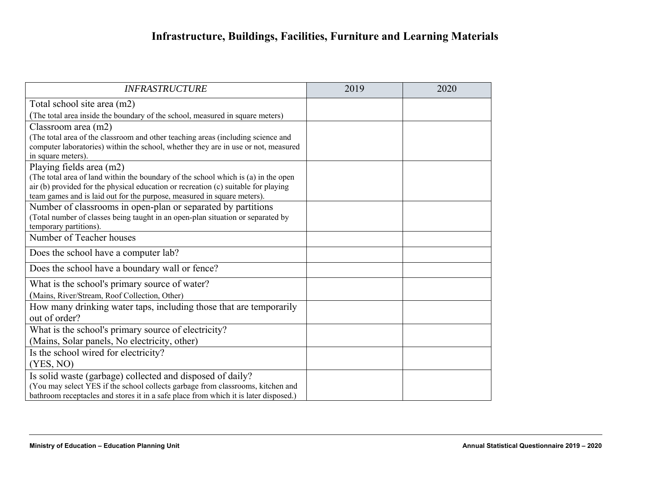# **Infrastructure, Buildings, Facilities, Furniture and Learning Materials**

| <b>INFRASTRUCTURE</b>                                                                                    | 2019 | 2020 |
|----------------------------------------------------------------------------------------------------------|------|------|
| Total school site area (m2)                                                                              |      |      |
| (The total area inside the boundary of the school, measured in square meters)                            |      |      |
| Classroom area $(m2)$                                                                                    |      |      |
| (The total area of the classroom and other teaching areas (including science and                         |      |      |
| computer laboratories) within the school, whether they are in use or not, measured<br>in square meters). |      |      |
| Playing fields area (m2)                                                                                 |      |      |
| (The total area of land within the boundary of the school which is (a) in the open                       |      |      |
| air (b) provided for the physical education or recreation (c) suitable for playing                       |      |      |
| team games and is laid out for the purpose, measured in square meters).                                  |      |      |
| Number of classrooms in open-plan or separated by partitions                                             |      |      |
| (Total number of classes being taught in an open-plan situation or separated by                          |      |      |
| temporary partitions).<br>Number of Teacher houses                                                       |      |      |
|                                                                                                          |      |      |
| Does the school have a computer lab?                                                                     |      |      |
| Does the school have a boundary wall or fence?                                                           |      |      |
| What is the school's primary source of water?                                                            |      |      |
| (Mains, River/Stream, Roof Collection, Other)                                                            |      |      |
| How many drinking water taps, including those that are temporarily                                       |      |      |
| out of order?                                                                                            |      |      |
| What is the school's primary source of electricity?                                                      |      |      |
| (Mains, Solar panels, No electricity, other)                                                             |      |      |
| Is the school wired for electricity?                                                                     |      |      |
| (YES, NO)                                                                                                |      |      |
| Is solid waste (garbage) collected and disposed of daily?                                                |      |      |
| (You may select YES if the school collects garbage from classrooms, kitchen and                          |      |      |
| bathroom receptacles and stores it in a safe place from which it is later disposed.)                     |      |      |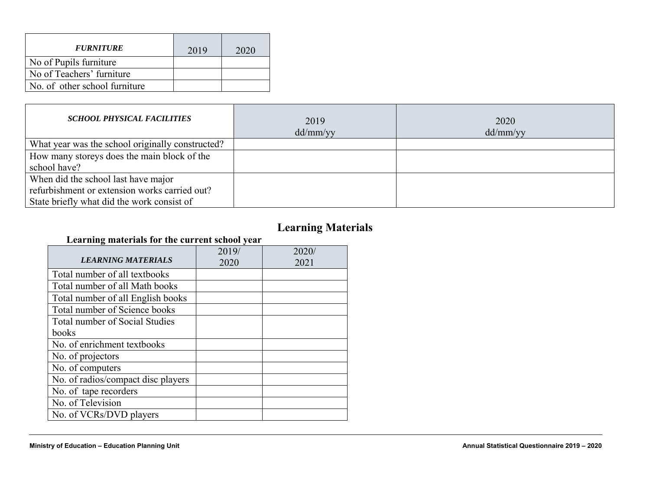| <b>FURNITURE</b>              | 2019 | 2020 |
|-------------------------------|------|------|
| No of Pupils furniture        |      |      |
| No of Teachers' furniture     |      |      |
| No. of other school furniture |      |      |

| <b>SCHOOL PHYSICAL FACILITIES</b>                | 2019<br>dd/mm/yy | 2020<br>dd/mm/yy |
|--------------------------------------------------|------------------|------------------|
| What year was the school originally constructed? |                  |                  |
| How many storeys does the main block of the      |                  |                  |
| school have?                                     |                  |                  |
| When did the school last have major              |                  |                  |
| refurbishment or extension works carried out?    |                  |                  |
| State briefly what did the work consist of       |                  |                  |

## **Learning Materials**

#### **Learning materials for the current school year**

| <b>LEARNING MATERIALS</b>          | 2019/<br>2020 | 2020/<br>2021 |
|------------------------------------|---------------|---------------|
| Total number of all textbooks      |               |               |
| Total number of all Math books     |               |               |
| Total number of all English books  |               |               |
| Total number of Science books      |               |               |
| Total number of Social Studies     |               |               |
| books                              |               |               |
| No. of enrichment textbooks        |               |               |
| No. of projectors                  |               |               |
| No. of computers                   |               |               |
| No. of radios/compact disc players |               |               |
| No. of tape recorders              |               |               |
| No. of Television                  |               |               |
| No. of VCRs/DVD players            |               |               |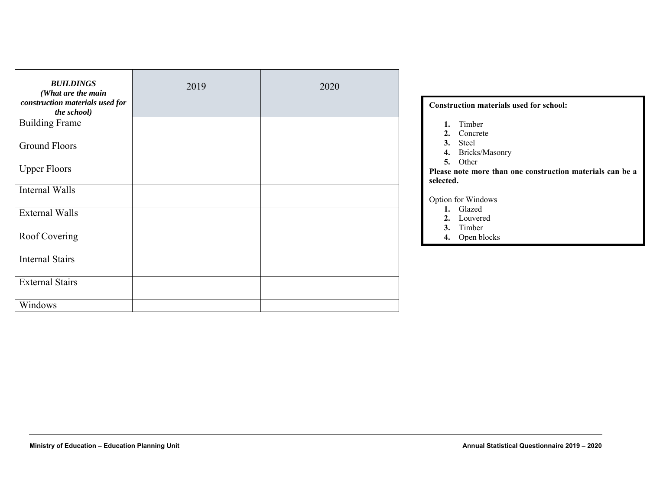| <b>BUILDINGS</b><br>(What are the main         | 2019 | 2020 |                                                                        |
|------------------------------------------------|------|------|------------------------------------------------------------------------|
| construction materials used for<br>the school) |      |      | <b>Construction materials used for school:</b>                         |
| <b>Building Frame</b>                          |      |      | 1. Timber<br>2. Concrete                                               |
| <b>Ground Floors</b>                           |      |      | Steel<br>3.<br>Bricks/Masonry<br>4.<br>Other<br>5.                     |
| <b>Upper Floors</b>                            |      |      | Please note more than one construction materials can be a<br>selected. |
| Internal Walls                                 |      |      | Option for Windows                                                     |
| <b>External Walls</b>                          |      |      | 1. Glazed<br>2. Louvered<br>Timber<br>3.                               |
| Roof Covering                                  |      |      | Open blocks<br>4.                                                      |
| <b>Internal Stairs</b>                         |      |      |                                                                        |
| <b>External Stairs</b>                         |      |      |                                                                        |
| Windows                                        |      |      |                                                                        |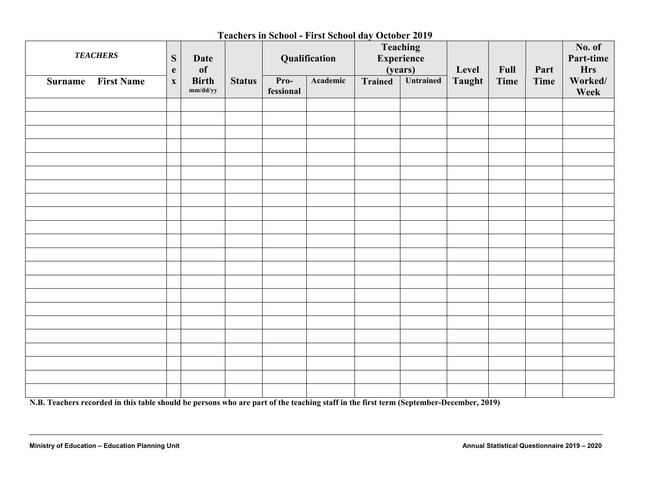#### **Teachers in School - First School day October 2019**

| <b>TEACHERS</b>                     | ${\bf S}$<br>$\mathbf{e}$ | Date<br><b>of</b>        |                                                                               |  | Teaching<br><b>Experience</b><br>Qualification<br>(years) |      | Level | Full            | Part | No. of<br>Part-time<br><b>Hrs</b> |  |
|-------------------------------------|---------------------------|--------------------------|-------------------------------------------------------------------------------|--|-----------------------------------------------------------|------|-------|-----------------|------|-----------------------------------|--|
| <b>First Name</b><br><b>Surname</b> | $\mathbf X$               | <b>Birth</b><br>mm/dd/yy | Untrained<br>Academic<br>Pro-<br><b>Trained</b><br><b>Status</b><br>fessional |  | Taught                                                    | Time | Time  | Worked/<br>Week |      |                                   |  |
|                                     |                           |                          |                                                                               |  |                                                           |      |       |                 |      |                                   |  |
|                                     |                           |                          |                                                                               |  |                                                           |      |       |                 |      |                                   |  |
|                                     |                           |                          |                                                                               |  |                                                           |      |       |                 |      |                                   |  |
|                                     |                           |                          |                                                                               |  |                                                           |      |       |                 |      |                                   |  |
|                                     |                           |                          |                                                                               |  |                                                           |      |       |                 |      |                                   |  |
|                                     |                           |                          |                                                                               |  |                                                           |      |       |                 |      |                                   |  |
|                                     |                           |                          |                                                                               |  |                                                           |      |       |                 |      |                                   |  |
|                                     |                           |                          |                                                                               |  |                                                           |      |       |                 |      |                                   |  |
|                                     |                           |                          |                                                                               |  |                                                           |      |       |                 |      |                                   |  |
|                                     |                           |                          |                                                                               |  |                                                           |      |       |                 |      |                                   |  |
|                                     |                           |                          |                                                                               |  |                                                           |      |       |                 |      |                                   |  |
|                                     |                           |                          |                                                                               |  |                                                           |      |       |                 |      |                                   |  |
|                                     |                           |                          |                                                                               |  |                                                           |      |       |                 |      |                                   |  |
|                                     |                           |                          |                                                                               |  |                                                           |      |       |                 |      |                                   |  |
|                                     |                           |                          |                                                                               |  |                                                           |      |       |                 |      |                                   |  |
|                                     |                           |                          |                                                                               |  |                                                           |      |       |                 |      |                                   |  |
|                                     |                           |                          |                                                                               |  |                                                           |      |       |                 |      |                                   |  |
|                                     |                           |                          |                                                                               |  |                                                           |      |       |                 |      |                                   |  |
|                                     |                           |                          |                                                                               |  |                                                           |      |       |                 |      |                                   |  |
|                                     |                           |                          |                                                                               |  |                                                           |      |       |                 |      |                                   |  |
|                                     |                           |                          |                                                                               |  |                                                           |      |       |                 |      |                                   |  |

**N.B. Teachers recorded in this table should be persons who are part of the teaching staff in the first term (September-December, 2019)**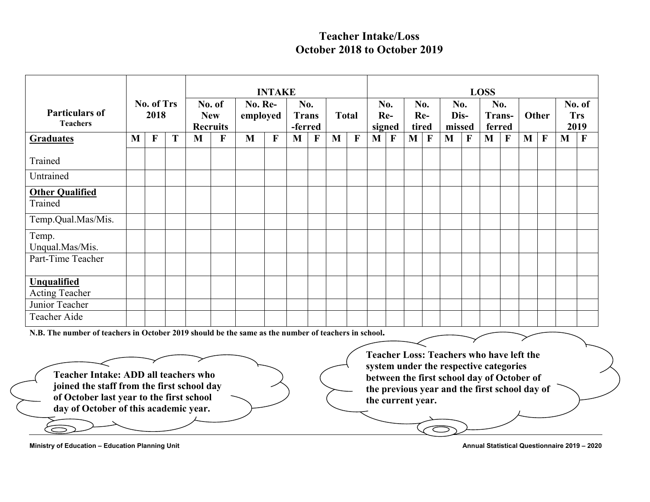### **Teacher Intake/Loss October 2018 to October 2019**

|                                                                                                                                                                         |   |                    |   |   |                                         |                     | <b>INTAKE</b> |                                |              |              |              |                   |              |                     |              |                                                                                                                                                                                          |             | <b>LOSS</b>             |   |              |              |              |                              |
|-------------------------------------------------------------------------------------------------------------------------------------------------------------------------|---|--------------------|---|---|-----------------------------------------|---------------------|---------------|--------------------------------|--------------|--------------|--------------|-------------------|--------------|---------------------|--------------|------------------------------------------------------------------------------------------------------------------------------------------------------------------------------------------|-------------|-------------------------|---|--------------|--------------|--------------|------------------------------|
| <b>Particulars of</b><br><b>Teachers</b>                                                                                                                                |   | No. of Trs<br>2018 |   |   | No. of<br><b>New</b><br><b>Recruits</b> | No. Re-<br>employed |               | No.<br><b>Trans</b><br>-ferred |              | <b>Total</b> |              | No.<br>signed     | Re-          | No.<br>Re-<br>tired |              | No.<br>Dis-<br>missed                                                                                                                                                                    |             | No.<br>Trans-<br>ferred |   |              | Other        |              | No. of<br><b>Trs</b><br>2019 |
| <b>Graduates</b>                                                                                                                                                        | M | $\mathbf{F}$       | T | M | F                                       | M                   | F             | M                              | $\mathbf{F}$ | M            | $\mathbf{F}$ | M                 | $\mathbf{F}$ | M <sub>1</sub>      | $\mathbf{F}$ | M                                                                                                                                                                                        | $\mathbf F$ | M                       | F | $\mathbf{M}$ | $\mathbf{F}$ | $\mathbf{M}$ | $\mathbf{F}$                 |
| Trained                                                                                                                                                                 |   |                    |   |   |                                         |                     |               |                                |              |              |              |                   |              |                     |              |                                                                                                                                                                                          |             |                         |   |              |              |              |                              |
| Untrained                                                                                                                                                               |   |                    |   |   |                                         |                     |               |                                |              |              |              |                   |              |                     |              |                                                                                                                                                                                          |             |                         |   |              |              |              |                              |
| <b>Other Qualified</b><br>Trained                                                                                                                                       |   |                    |   |   |                                         |                     |               |                                |              |              |              |                   |              |                     |              |                                                                                                                                                                                          |             |                         |   |              |              |              |                              |
| Temp.Qual.Mas/Mis.                                                                                                                                                      |   |                    |   |   |                                         |                     |               |                                |              |              |              |                   |              |                     |              |                                                                                                                                                                                          |             |                         |   |              |              |              |                              |
| Temp.<br>Unqual.Mas/Mis.                                                                                                                                                |   |                    |   |   |                                         |                     |               |                                |              |              |              |                   |              |                     |              |                                                                                                                                                                                          |             |                         |   |              |              |              |                              |
| Part-Time Teacher                                                                                                                                                       |   |                    |   |   |                                         |                     |               |                                |              |              |              |                   |              |                     |              |                                                                                                                                                                                          |             |                         |   |              |              |              |                              |
| Unqualified<br><b>Acting Teacher</b>                                                                                                                                    |   |                    |   |   |                                         |                     |               |                                |              |              |              |                   |              |                     |              |                                                                                                                                                                                          |             |                         |   |              |              |              |                              |
| Junior Teacher                                                                                                                                                          |   |                    |   |   |                                         |                     |               |                                |              |              |              |                   |              |                     |              |                                                                                                                                                                                          |             |                         |   |              |              |              |                              |
| Teacher Aide                                                                                                                                                            |   |                    |   |   |                                         |                     |               |                                |              |              |              |                   |              |                     |              |                                                                                                                                                                                          |             |                         |   |              |              |              |                              |
| N.B. The number of teachers in October 2019 should be the same as the number of teachers in school.                                                                     |   |                    |   |   |                                         |                     |               |                                |              |              |              |                   |              |                     |              |                                                                                                                                                                                          |             |                         |   |              |              |              |                              |
| Teacher Intake: ADD all teachers who<br>joined the staff from the first school day<br>of October last year to the first school<br>day of October of this academic year. |   |                    |   |   |                                         |                     |               |                                |              |              |              | the current year. |              |                     |              | <b>Teacher Loss: Teachers who have left the</b><br>system under the respective categories<br>between the first school day of October of<br>the previous year and the first school day of |             |                         |   |              |              |              |                              |
|                                                                                                                                                                         |   |                    |   |   |                                         |                     |               |                                |              |              |              |                   |              |                     |              |                                                                                                                                                                                          |             |                         |   |              |              |              |                              |

Ministry of Education – Education Planning Unit **Annual Statistical Questionnaire 2019** – 2020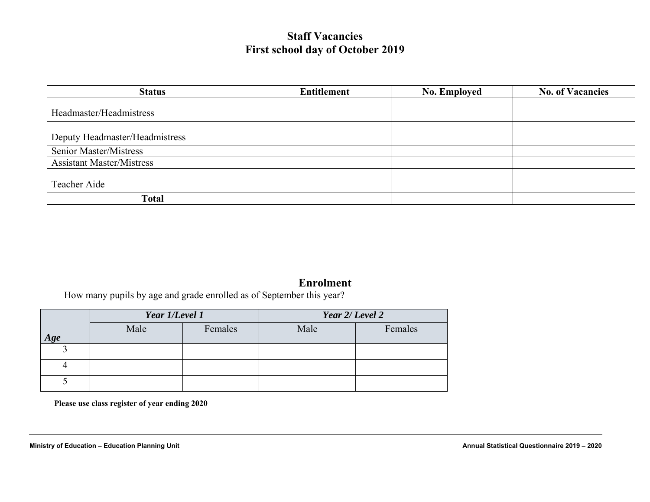### **Staff Vacancies First school day of October 2019**

| <b>Status</b>                    | Entitlement | <b>No. Employed</b> | <b>No. of Vacancies</b> |
|----------------------------------|-------------|---------------------|-------------------------|
| Headmaster/Headmistress          |             |                     |                         |
| Deputy Headmaster/Headmistress   |             |                     |                         |
| <b>Senior Master/Mistress</b>    |             |                     |                         |
| <b>Assistant Master/Mistress</b> |             |                     |                         |
| Teacher Aide                     |             |                     |                         |
| <b>Total</b>                     |             |                     |                         |

#### **Enrolment**

How many pupils by age and grade enrolled as of September this year?

|     | Year 1/Level 1 |         | Year 2/ Level 2 |         |  |  |  |  |  |
|-----|----------------|---------|-----------------|---------|--|--|--|--|--|
| Age | Male           | Females | Male            | Females |  |  |  |  |  |
|     |                |         |                 |         |  |  |  |  |  |
|     |                |         |                 |         |  |  |  |  |  |
|     |                |         |                 |         |  |  |  |  |  |

**Please use class register of year ending 2020**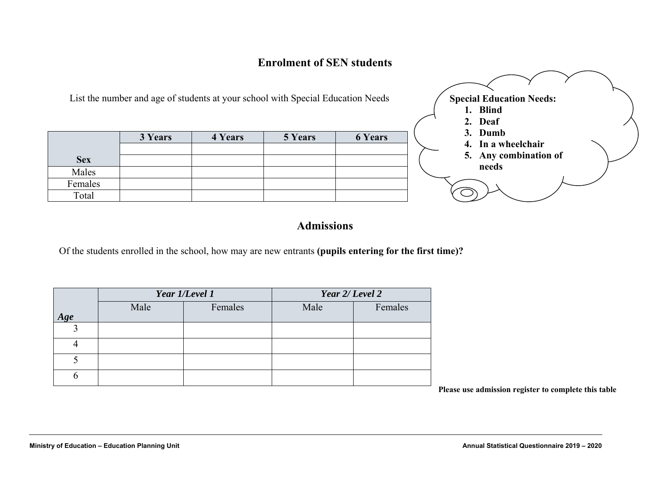#### **Enrolment of SEN students**

|            | List the number and age of students at your school with Special Education Needs |         |         |                | <b>Special Education Needs:</b><br>1. Blind<br>2. Deaf |
|------------|---------------------------------------------------------------------------------|---------|---------|----------------|--------------------------------------------------------|
|            | 3 Years                                                                         | 4 Years | 5 Years | <b>6 Years</b> | 3. Dumb<br>4. In a wheelchair                          |
|            |                                                                                 |         |         |                | 5. Any combination of                                  |
| <b>Sex</b> |                                                                                 |         |         |                |                                                        |
| Males      |                                                                                 |         |         |                | needs                                                  |
| Females    |                                                                                 |         |         |                |                                                        |
| Total      |                                                                                 |         |         |                |                                                        |

### **Admissions**

Of the students enrolled in the school, how may are new entrants **(pupils entering for the first time)?**

|     |      | Year 1/Level 1 | Year 2/ Level 2 |         |  |
|-----|------|----------------|-----------------|---------|--|
| Age | Male | Females        | Male            | Females |  |
|     |      |                |                 |         |  |
|     |      |                |                 |         |  |
|     |      |                |                 |         |  |
|     |      |                |                 |         |  |

**Please use admission register to complete this table**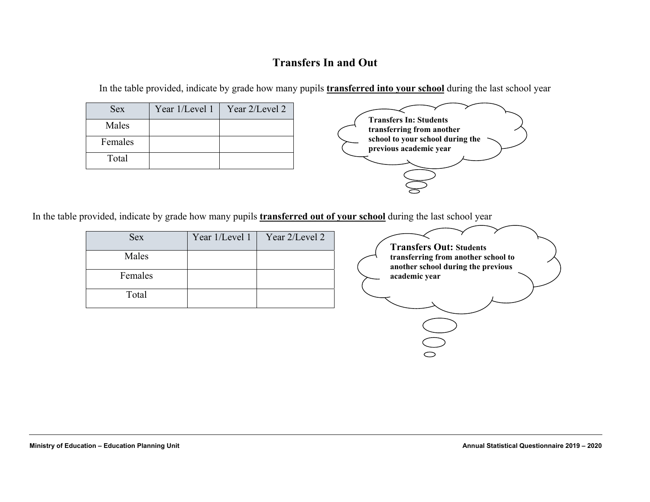### **Transfers In and Out**

In the table provided, indicate by grade how many pupils **transferred into your school** during the last school year

| <b>Sex</b> | Year 1/Level 1 | Year 2/Level 2 |
|------------|----------------|----------------|
| Males      |                |                |
| Females    |                |                |
| Total      |                |                |



In the table provided, indicate by grade how many pupils **transferred out of your school** during the last school year

| <b>Sex</b> | Year 1/Level 1 | Year 2/Level 2 |
|------------|----------------|----------------|
| Males      |                |                |
| Females    |                |                |
| Total      |                |                |

**Transfers Out: Students transferring from another school to another school during the previous academic year**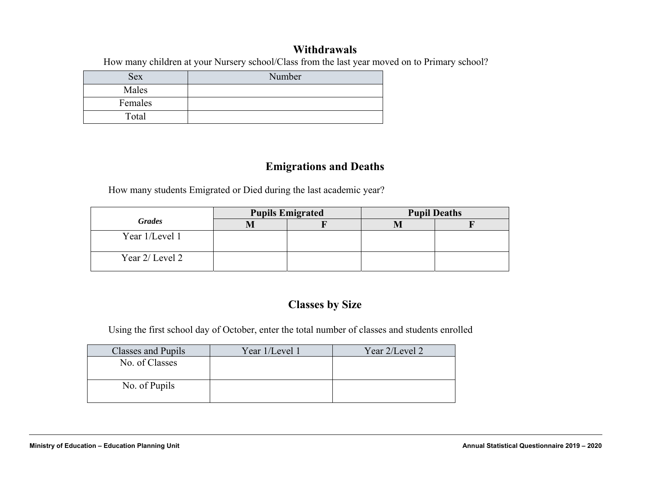#### **Withdrawals**

How many children at your Nursery school/Class from the last year moved on to Primary school?

| <b>Sex</b> | Number |
|------------|--------|
| Males      |        |
| Females    |        |
| Total      |        |

### **Emigrations and Deaths**

How many students Emigrated or Died during the last academic year?

|                 |     | <b>Pupils Emigrated</b> | <b>Pupil Deaths</b> |  |  |
|-----------------|-----|-------------------------|---------------------|--|--|
| <b>Grades</b>   | IVI |                         |                     |  |  |
| Year 1/Level 1  |     |                         |                     |  |  |
| Year 2/ Level 2 |     |                         |                     |  |  |

## **Classes by Size**

Using the first school day of October, enter the total number of classes and students enrolled

| Classes and Pupils | Year 1/Level 1 | Year 2/Level 2 |
|--------------------|----------------|----------------|
| No. of Classes     |                |                |
|                    |                |                |
| No. of Pupils      |                |                |
|                    |                |                |